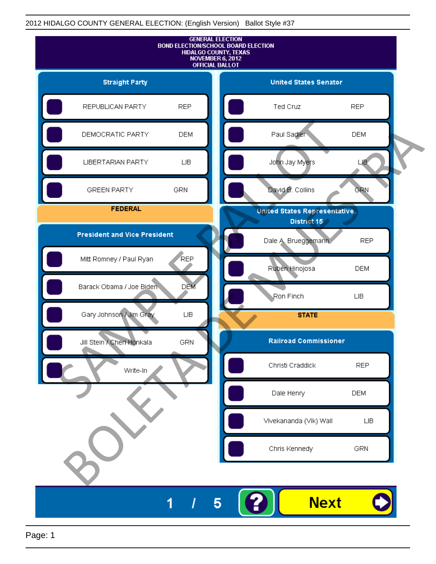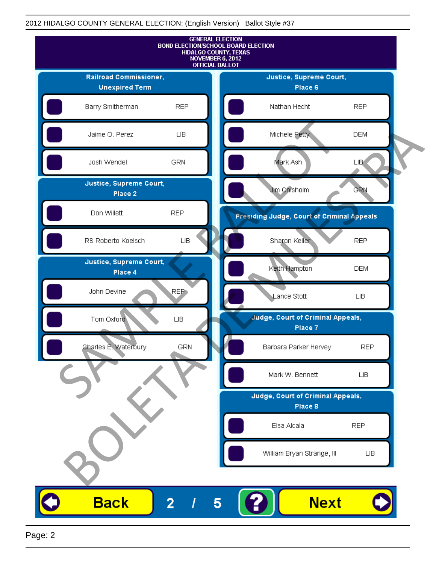

Page: 2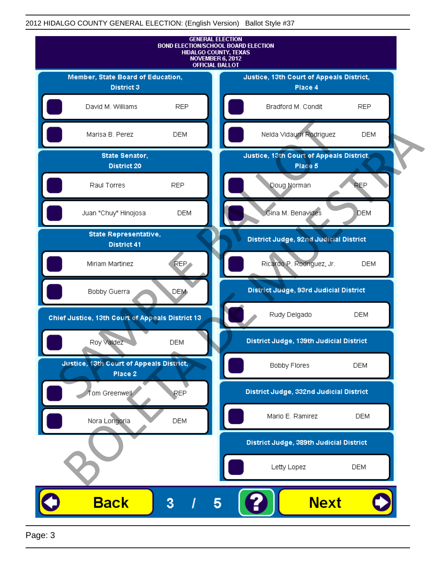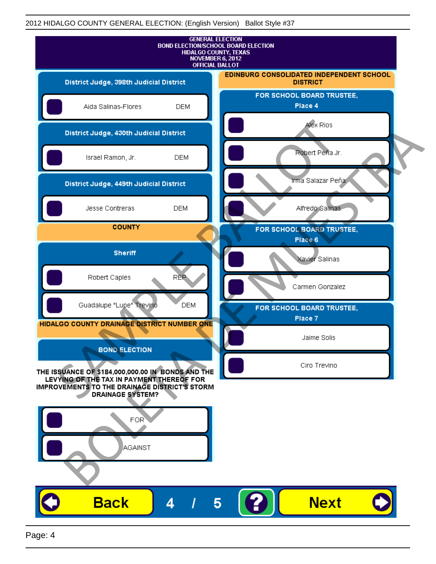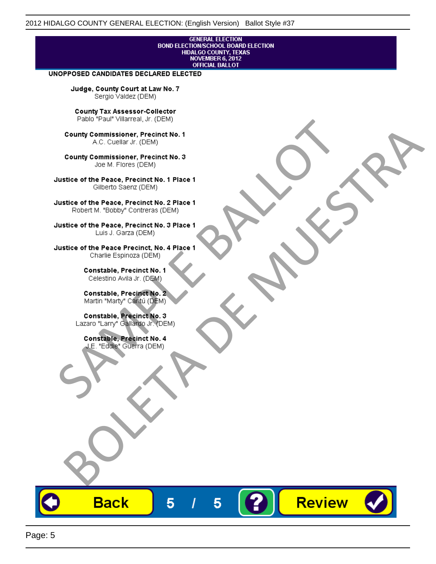# **GENERAL ELECTION** BOND ELECTIONSCHOOL BOARD ELECTION<br>HIDALGO COUNTY, TEXAS<br>NOVEMBER 6, 2012<br>OFFICIAL BALLOT

Review

#### UNOPPOSED CANDIDATES DECLARED ELECTED

Judge, County Court at Law No. 7 Sergio Valdez (DEM)

County Tax Assessor-Collector

Fall Paul Visitera, Precinct No. 1<br>
County Commissioner, Precinct No. 1<br>
SAC. Cutellar JF: (DEM)<br>
County Commissioner, Precinct No. 2<br>
Ulattice of the Peace, Precinct No. 2 Place 1<br>
Counter M. "Bobby" Contrers (DEM)<br>
Ulatt County Commissioner, Precinct No. 1<br>
Accounts: A County Commissioner, Precinct No. 3<br>
Use of the Peace, Precinct No. 1<br>
Siste of the Peace, Precinct No. 1<br>
There is a control of the County Commission (DEM)<br>
There is a cont

**Back** 

5

5

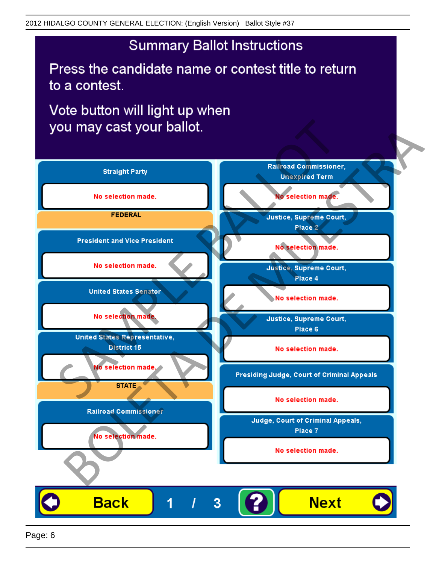## **Summary Ballot Instructions**

Press the candidate name or contest title to return to a contest.

Vote button will light up when

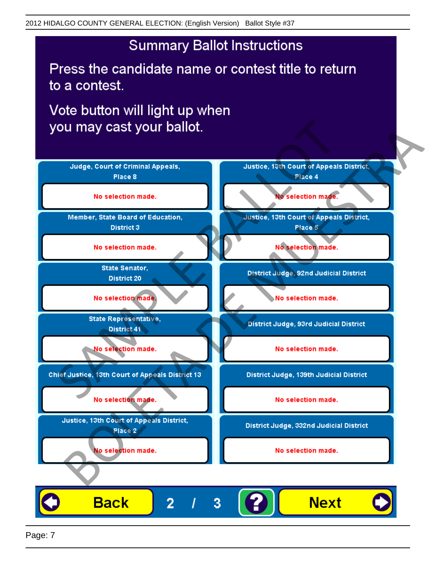## **Summary Ballot Instructions**

Press the candidate name or contest title to return to a contest.

Vote button will light up when